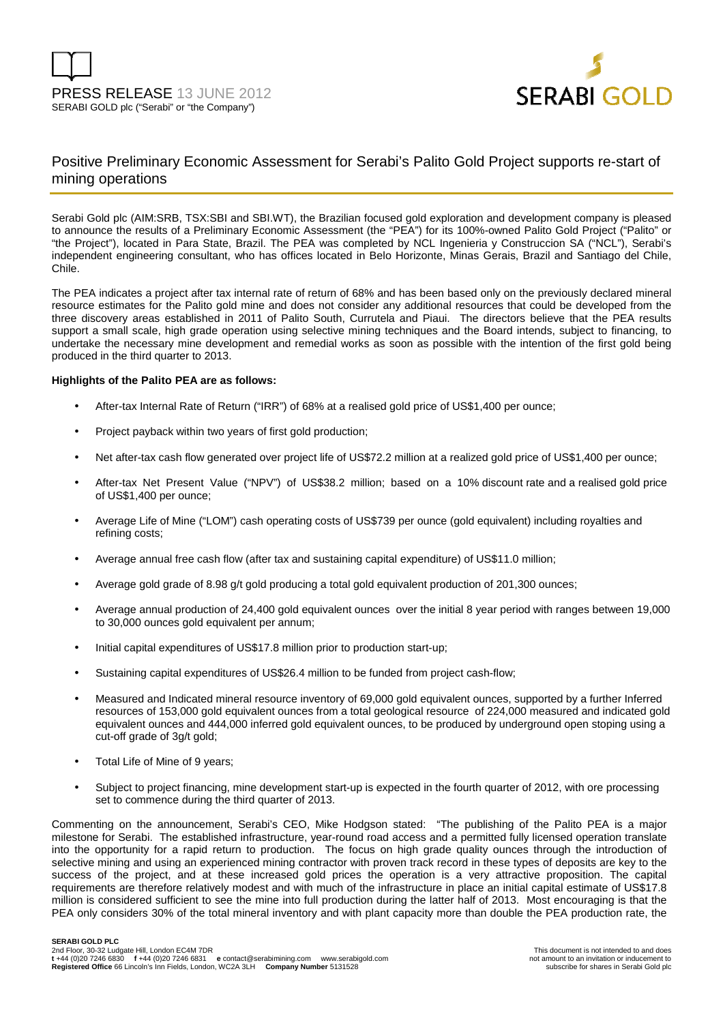



### Positive Preliminary Economic Assessment for Serabi's Palito Gold Project supports re-start of mining operations

Serabi Gold plc (AIM:SRB, TSX:SBI and SBI.WT), the Brazilian focused gold exploration and development company is pleased to announce the results of a Preliminary Economic Assessment (the "PEA") for its 100%-owned Palito Gold Project ("Palito" or "the Project"), located in Para State, Brazil. The PEA was completed by NCL Ingenieria y Construccion SA ("NCL"), Serabi's independent engineering consultant, who has offices located in Belo Horizonte, Minas Gerais, Brazil and Santiago del Chile, Chile.

The PEA indicates a project after tax internal rate of return of 68% and has been based only on the previously declared mineral resource estimates for the Palito gold mine and does not consider any additional resources that could be developed from the three discovery areas established in 2011 of Palito South, Currutela and Piaui. The directors believe that the PEA results support a small scale, high grade operation using selective mining techniques and the Board intends, subject to financing, to undertake the necessary mine development and remedial works as soon as possible with the intention of the first gold being produced in the third quarter to 2013.

#### **Highlights of the Palito PEA are as follows:**

- After-tax Internal Rate of Return ("IRR") of 68% at a realised gold price of US\$1,400 per ounce;
- Project payback within two years of first gold production;
- Net after-tax cash flow generated over project life of US\$72.2 million at a realized gold price of US\$1,400 per ounce:
- After-tax Net Present Value ("NPV") of US\$38.2 million; based on a 10% discount rate and a realised gold price of US\$1,400 per ounce;
- Average Life of Mine ("LOM") cash operating costs of US\$739 per ounce (gold equivalent) including royalties and refining costs;
- Average annual free cash flow (after tax and sustaining capital expenditure) of US\$11.0 million;
- Average gold grade of 8.98 g/t gold producing a total gold equivalent production of 201,300 ounces;
- Average annual production of 24,400 gold equivalent ounces over the initial 8 year period with ranges between 19,000 to 30,000 ounces gold equivalent per annum;
- Initial capital expenditures of US\$17.8 million prior to production start-up;
- Sustaining capital expenditures of US\$26.4 million to be funded from project cash-flow;
- Measured and Indicated mineral resource inventory of 69,000 gold equivalent ounces, supported by a further Inferred resources of 153,000 gold equivalent ounces from a total geological resource of 224,000 measured and indicated gold equivalent ounces and 444,000 inferred gold equivalent ounces, to be produced by underground open stoping using a cut-off grade of 3g/t gold;
- Total Life of Mine of 9 years;
- Subject to project financing, mine development start-up is expected in the fourth quarter of 2012, with ore processing set to commence during the third quarter of 2013.

Commenting on the announcement, Serabi's CEO, Mike Hodgson stated: "The publishing of the Palito PEA is a major milestone for Serabi. The established infrastructure, year-round road access and a permitted fully licensed operation translate into the opportunity for a rapid return to production. The focus on high grade quality ounces through the introduction of selective mining and using an experienced mining contractor with proven track record in these types of deposits are key to the success of the project, and at these increased gold prices the operation is a very attractive proposition. The capital requirements are therefore relatively modest and with much of the infrastructure in place an initial capital estimate of US\$17.8 million is considered sufficient to see the mine into full production during the latter half of 2013. Most encouraging is that the PEA only considers 30% of the total mineral inventory and with plant capacity more than double the PEA production rate, the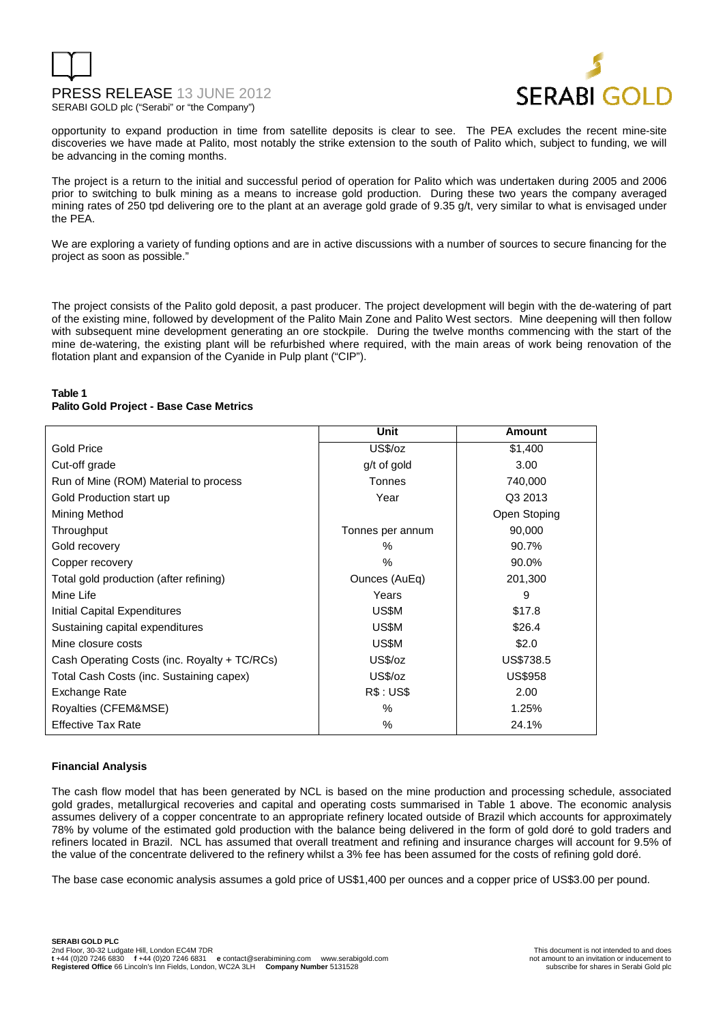



opportunity to expand production in time from satellite deposits is clear to see. The PEA excludes the recent mine-site discoveries we have made at Palito, most notably the strike extension to the south of Palito which, subject to funding, we will be advancing in the coming months.

The project is a return to the initial and successful period of operation for Palito which was undertaken during 2005 and 2006 prior to switching to bulk mining as a means to increase gold production. During these two years the company averaged mining rates of 250 tpd delivering ore to the plant at an average gold grade of 9.35 g/t, very similar to what is envisaged under the PEA.

We are exploring a variety of funding options and are in active discussions with a number of sources to secure financing for the project as soon as possible."

The project consists of the Palito gold deposit, a past producer. The project development will begin with the de-watering of part of the existing mine, followed by development of the Palito Main Zone and Palito West sectors. Mine deepening will then follow with subsequent mine development generating an ore stockpile. During the twelve months commencing with the start of the mine de-watering, the existing plant will be refurbished where required, with the main areas of work being renovation of the flotation plant and expansion of the Cyanide in Pulp plant ("CIP").

#### **Table 1 Palito Gold Project - Base Case Metrics**

|                                              | <b>Unit</b>      | Amount         |
|----------------------------------------------|------------------|----------------|
| <b>Gold Price</b>                            | US\$/oz          | \$1,400        |
| Cut-off grade                                | g/t of gold      | 3.00           |
| Run of Mine (ROM) Material to process        | Tonnes           | 740,000        |
| Gold Production start up                     | Year             | Q3 2013        |
| Mining Method                                |                  | Open Stoping   |
| Throughput                                   | Tonnes per annum | 90,000         |
| Gold recovery                                | ℅                | 90.7%          |
| Copper recovery                              | $\%$             | 90.0%          |
| Total gold production (after refining)       | Ounces (AuEq)    | 201,300        |
| Mine Life                                    | Years            | 9              |
| <b>Initial Capital Expenditures</b>          | US\$M            | \$17.8         |
| Sustaining capital expenditures              | US\$M            | \$26.4         |
| Mine closure costs                           | US\$M            | \$2.0          |
| Cash Operating Costs (inc. Royalty + TC/RCs) | US\$/oz          | US\$738.5      |
| Total Cash Costs (inc. Sustaining capex)     | US\$/oz          | <b>US\$958</b> |
| Exchange Rate                                | RS: USS          | 2.00           |
| Royalties (CFEM&MSE)                         | $\%$             | 1.25%          |
| <b>Effective Tax Rate</b>                    | $\%$             | 24.1%          |

#### **Financial Analysis**

The cash flow model that has been generated by NCL is based on the mine production and processing schedule, associated gold grades, metallurgical recoveries and capital and operating costs summarised in Table 1 above. The economic analysis assumes delivery of a copper concentrate to an appropriate refinery located outside of Brazil which accounts for approximately 78% by volume of the estimated gold production with the balance being delivered in the form of gold doré to gold traders and refiners located in Brazil. NCL has assumed that overall treatment and refining and insurance charges will account for 9.5% of the value of the concentrate delivered to the refinery whilst a 3% fee has been assumed for the costs of refining gold doré.

The base case economic analysis assumes a gold price of US\$1,400 per ounces and a copper price of US\$3.00 per pound.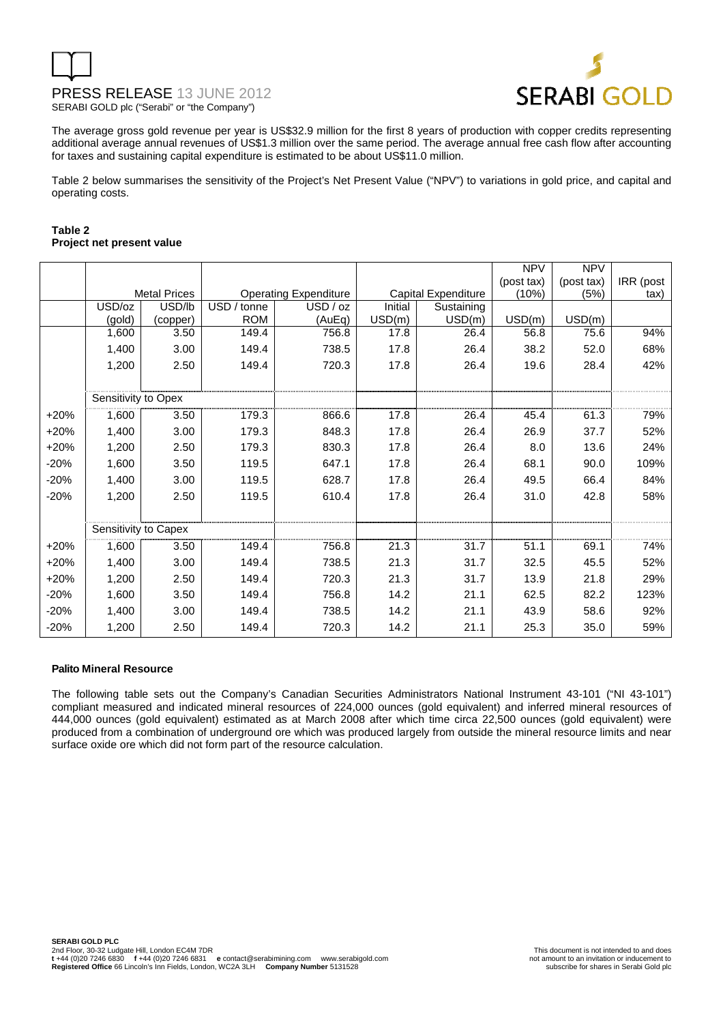

The average gross gold revenue per year is US\$32.9 million for the first 8 years of production with copper credits representing additional average annual revenues of US\$1.3 million over the same period. The average annual free cash flow after accounting for taxes and sustaining capital expenditure is estimated to be about US\$11.0 million.

Table 2 below summarises the sensitivity of the Project's Net Present Value ("NPV") to variations in gold price, and capital and operating costs.

#### **Table 2 Project net present value**

|        |                      |                     |                |                              |         |                     | <b>NPV</b> | <b>NPV</b> |           |
|--------|----------------------|---------------------|----------------|------------------------------|---------|---------------------|------------|------------|-----------|
|        |                      |                     |                |                              |         |                     | (post tax) | (post tax) | IRR (post |
|        |                      | <b>Metal Prices</b> |                | <b>Operating Expenditure</b> |         | Capital Expenditure | (10%)      | (5%)       | tax)      |
|        | USD/oz               | USD/lb              | USD /<br>tonne | USD / oz                     | Initial | Sustaining          |            |            |           |
|        | (gold)               | (copper)            | <b>ROM</b>     | (AuEq)                       | USD(m)  | USD(m)              | USD(m)     | USD(m)     |           |
|        | 1,600                | 3.50                | 149.4          | 756.8                        | 17.8    | 26.4                | 56.8       | 75.6       | 94%       |
|        | 1,400                | 3.00                | 149.4          | 738.5                        | 17.8    | 26.4                | 38.2       | 52.0       | 68%       |
|        | 1,200                | 2.50                | 149.4          | 720.3                        | 17.8    | 26.4                | 19.6       | 28.4       | 42%       |
|        |                      |                     |                |                              |         |                     |            |            |           |
|        | Sensitivity to Opex  |                     |                |                              |         |                     |            |            |           |
| $+20%$ | 1,600                | 3.50                | 179.3          | 866.6                        | 17.8    | 26.4                | 45.4       | 61.3       | 79%       |
| $+20%$ | 1,400                | 3.00                | 179.3          | 848.3                        | 17.8    | 26.4                | 26.9       | 37.7       | 52%       |
| $+20%$ | 1,200                | 2.50                | 179.3          | 830.3                        | 17.8    | 26.4                | 8.0        | 13.6       | 24%       |
| $-20%$ | 1,600                | 3.50                | 119.5          | 647.1                        | 17.8    | 26.4                | 68.1       | 90.0       | 109%      |
| $-20%$ | 1,400                | 3.00                | 119.5          | 628.7                        | 17.8    | 26.4                | 49.5       | 66.4       | 84%       |
| $-20%$ | 1,200                | 2.50                | 119.5          | 610.4                        | 17.8    | 26.4                | 31.0       | 42.8       | 58%       |
|        |                      |                     |                |                              |         |                     |            |            |           |
|        | Sensitivity to Capex |                     |                |                              |         |                     |            |            |           |
| $+20%$ | 1,600                | 3.50                | 149.4          | 756.8                        | 21.3    | 31.7                | 51.1       | 69.1       | 74%       |
| $+20%$ | 1,400                | 3.00                | 149.4          | 738.5                        | 21.3    | 31.7                | 32.5       | 45.5       | 52%       |
| $+20%$ | 1,200                | 2.50                | 149.4          | 720.3                        | 21.3    | 31.7                | 13.9       | 21.8       | 29%       |
| $-20%$ | 1,600                | 3.50                | 149.4          | 756.8                        | 14.2    | 21.1                | 62.5       | 82.2       | 123%      |
| $-20%$ | 1,400                | 3.00                | 149.4          | 738.5                        | 14.2    | 21.1                | 43.9       | 58.6       | 92%       |
| $-20%$ | 1,200                | 2.50                | 149.4          | 720.3                        | 14.2    | 21.1                | 25.3       | 35.0       | 59%       |

#### **Palito Mineral Resource**

The following table sets out the Company's Canadian Securities Administrators National Instrument 43-101 ("NI 43-101") compliant measured and indicated mineral resources of 224,000 ounces (gold equivalent) and inferred mineral resources of 444,000 ounces (gold equivalent) estimated as at March 2008 after which time circa 22,500 ounces (gold equivalent) were produced from a combination of underground ore which was produced largely from outside the mineral resource limits and near surface oxide ore which did not form part of the resource calculation.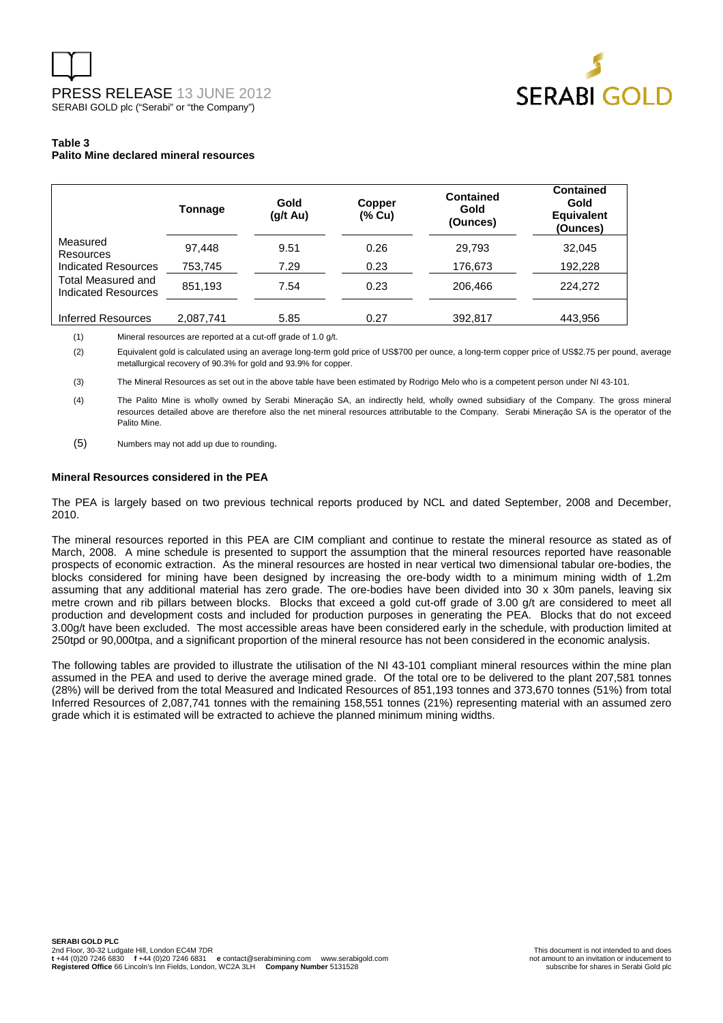

#### **Table 3 Palito Mine declared mineral resources**

|                                           | Tonnage   | Gold<br>(g/t Au) | Copper<br>(% Cu) | Contained<br>Gold<br>(Ounces) | <b>Contained</b><br>Gold<br><b>Equivalent</b><br>(Ounces) |
|-------------------------------------------|-----------|------------------|------------------|-------------------------------|-----------------------------------------------------------|
| Measured<br>Resources                     | 97.448    | 9.51             | 0.26             | 29,793                        | 32.045                                                    |
| Indicated Resources                       | 753,745   | 7.29             | 0.23             | 176,673                       | 192,228                                                   |
| Total Measured and<br>Indicated Resources | 851.193   | 7.54             | 0.23             | 206.466                       | 224,272                                                   |
| <b>Inferred Resources</b>                 | 2,087,741 | 5.85             | 0.27             | 392,817                       | 443,956                                                   |

(1) Mineral resources are reported at a cut-off grade of 1.0 g/t.

(2) Equivalent gold is calculated using an average long-term gold price of US\$700 per ounce, a long-term copper price of US\$2.75 per pound, average metallurgical recovery of 90.3% for gold and 93.9% for copper.

(3) The Mineral Resources as set out in the above table have been estimated by Rodrigo Melo who is a competent person under NI 43-101.

(4) The Palito Mine is wholly owned by Serabi Mineraçăo SA, an indirectly held, wholly owned subsidiary of the Company. The gross mineral resources detailed above are therefore also the net mineral resources attributable to the Company. Serabi Mineraçăo SA is the operator of the Palito Mine.

(5) Numbers may not add up due to rounding.

#### **Mineral Resources considered in the PEA**

The PEA is largely based on two previous technical reports produced by NCL and dated September, 2008 and December, 2010.

The mineral resources reported in this PEA are CIM compliant and continue to restate the mineral resource as stated as of March, 2008. A mine schedule is presented to support the assumption that the mineral resources reported have reasonable prospects of economic extraction. As the mineral resources are hosted in near vertical two dimensional tabular ore-bodies, the blocks considered for mining have been designed by increasing the ore-body width to a minimum mining width of 1.2m assuming that any additional material has zero grade. The ore-bodies have been divided into 30 x 30m panels, leaving six metre crown and rib pillars between blocks. Blocks that exceed a gold cut-off grade of 3.00 g/t are considered to meet all production and development costs and included for production purposes in generating the PEA. Blocks that do not exceed 3.00g/t have been excluded. The most accessible areas have been considered early in the schedule, with production limited at 250tpd or 90,000tpa, and a significant proportion of the mineral resource has not been considered in the economic analysis.

The following tables are provided to illustrate the utilisation of the NI 43-101 compliant mineral resources within the mine plan assumed in the PEA and used to derive the average mined grade. Of the total ore to be delivered to the plant 207,581 tonnes (28%) will be derived from the total Measured and Indicated Resources of 851,193 tonnes and 373,670 tonnes (51%) from total Inferred Resources of 2,087,741 tonnes with the remaining 158,551 tonnes (21%) representing material with an assumed zero grade which it is estimated will be extracted to achieve the planned minimum mining widths.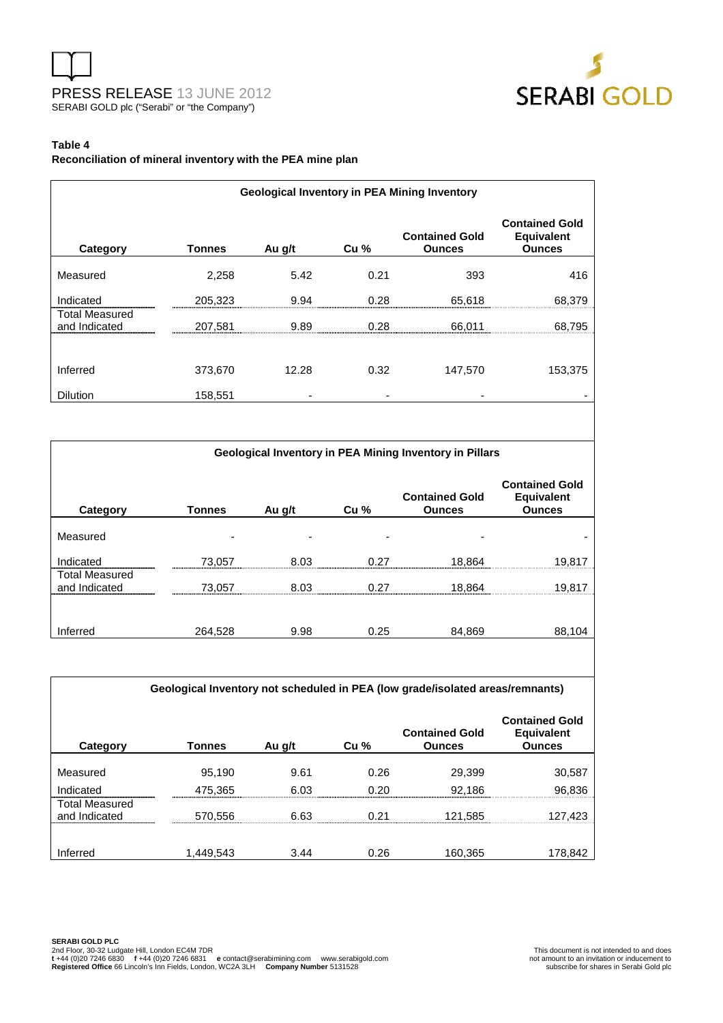



#### **Table 4**

**Reconciliation of mineral inventory with the PEA mine plan** 

|                                        | <b>Geological Inventory in PEA Mining Inventory</b> |        |                        |                                                         |                                                             |  |  |  |  |
|----------------------------------------|-----------------------------------------------------|--------|------------------------|---------------------------------------------------------|-------------------------------------------------------------|--|--|--|--|
| Category                               | <b>Tonnes</b>                                       | Au g/t | Cu %                   | <b>Contained Gold</b><br><b>Ounces</b>                  | <b>Contained Gold</b><br><b>Equivalent</b><br><b>Ounces</b> |  |  |  |  |
| Measured                               | 2,258                                               | 5.42   | 0.21                   | 393                                                     | 416                                                         |  |  |  |  |
| Indicated                              | 205,323                                             | 9.94   | 0.28                   | 65,618                                                  | 68,379                                                      |  |  |  |  |
| <b>Total Measured</b><br>and Indicated | 207,581                                             | 9.89   | 0.28                   | 66,011                                                  | 68,795                                                      |  |  |  |  |
| Inferred<br>Dilution                   | 373,670<br>158,551                                  | 12.28  | 0.32<br>$\blacksquare$ | 147,570                                                 | 153,375<br>$\overline{\phantom{a}}$                         |  |  |  |  |
|                                        |                                                     |        |                        |                                                         |                                                             |  |  |  |  |
|                                        |                                                     |        |                        | Geological Inventory in PEA Mining Inventory in Pillars |                                                             |  |  |  |  |
| Category                               | <b>Tonnes</b>                                       | Au g/t | Cu %                   | <b>Contained Gold</b><br><b>Ounces</b>                  | <b>Contained Gold</b><br><b>Equivalent</b><br><b>Ounces</b> |  |  |  |  |
| Measured                               |                                                     |        |                        |                                                         |                                                             |  |  |  |  |
| Indicated                              | 73,057                                              | 8.03   | 0.27                   | 18,864                                                  | 19,817                                                      |  |  |  |  |
| <b>Total Measured</b><br>and Indicated | 73,057                                              | 8.03   | 0.27                   | 18,864                                                  | 19,817                                                      |  |  |  |  |
| Inferred                               | 264.528                                             | 9.98   | 0.25                   | 84,869                                                  | 88,104                                                      |  |  |  |  |

**Geological Inventory not scheduled in PEA (low grade/isolated areas/remnants)** 

| Category                               | <b>Tonnes</b> | Au g/t | Cu <sub>%</sub> | <b>Contained Gold</b><br><b>Ounces</b> | <b>Contained Gold</b><br><b>Equivalent</b><br><b>Ounces</b> |
|----------------------------------------|---------------|--------|-----------------|----------------------------------------|-------------------------------------------------------------|
| Measured                               | 95,190        | 9.61   | 0.26            | 29,399                                 | 30,587                                                      |
|                                        |               |        |                 |                                        |                                                             |
| Indicated                              | 475,365       | 6.03   | 0.20            | 92,186                                 | 96,836                                                      |
| <b>Total Measured</b><br>and Indicated | 570.556       | 6.63   | O 21            | 121,585                                | 127.423                                                     |
|                                        |               |        |                 |                                        |                                                             |
| Inferred                               | 1,449,543     | 3.44   | 0.26            | 160,365                                | 178,842                                                     |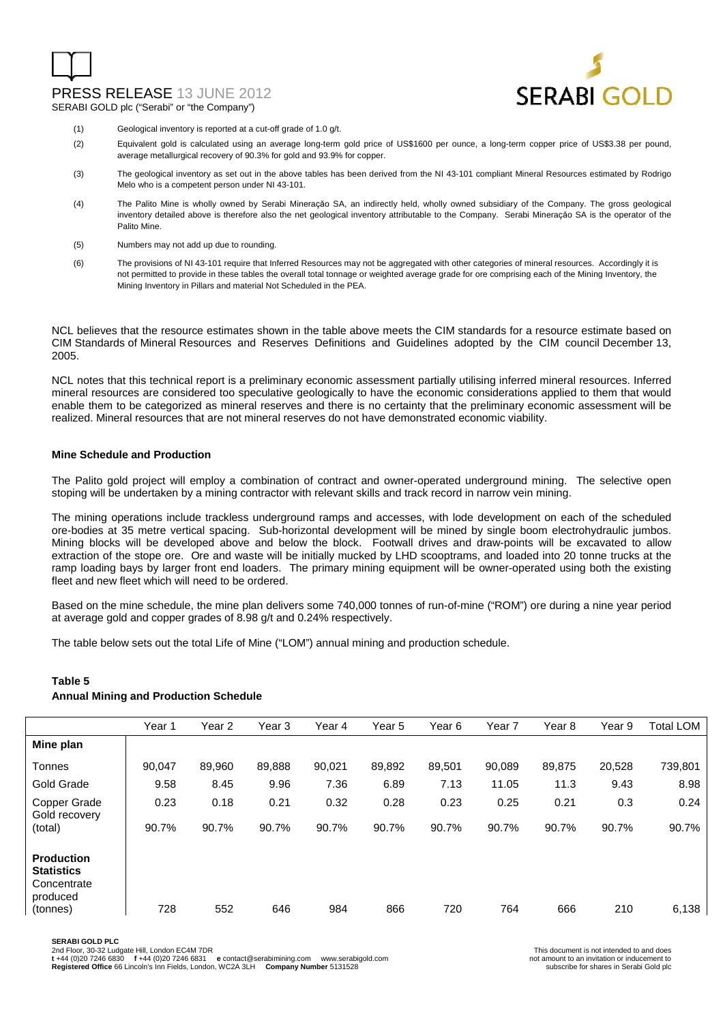### PRESS RELEASE 13 JUNE 2012

SERABI GOLD plc ("Serabi" or "the Company")



- (1) Geological inventory is reported at a cut-off grade of 1.0 g/t.
- (2) Equivalent gold is calculated using an average long-term gold price of US\$1600 per ounce, a long-term copper price of US\$3.38 per pound, average metallurgical recovery of 90.3% for gold and 93.9% for copper.
- (3) The geological inventory as set out in the above tables has been derived from the NI 43-101 compliant Mineral Resources estimated by Rodrigo Melo who is a competent person under NI 43-101.
- (4) The Palito Mine is wholly owned by Serabi Mineraçăo SA, an indirectly held, wholly owned subsidiary of the Company. The gross geological inventory detailed above is therefore also the net geological inventory attributable to the Company. Serabi Mineraçăo SA is the operator of the Palito Mine.
- (5) Numbers may not add up due to rounding.
- (6) The provisions of NI 43-101 require that Inferred Resources may not be aggregated with other categories of mineral resources. Accordingly it is not permitted to provide in these tables the overall total tonnage or weighted average grade for ore comprising each of the Mining Inventory, the Mining Inventory in Pillars and material Not Scheduled in the PEA.

NCL believes that the resource estimates shown in the table above meets the CIM standards for a resource estimate based on CIM Standards of Mineral Resources and Reserves Definitions and Guidelines adopted by the CIM council December 13, 2005.

NCL notes that this technical report is a preliminary economic assessment partially utilising inferred mineral resources. Inferred mineral resources are considered too speculative geologically to have the economic considerations applied to them that would enable them to be categorized as mineral reserves and there is no certainty that the preliminary economic assessment will be realized. Mineral resources that are not mineral reserves do not have demonstrated economic viability.

#### **Mine Schedule and Production**

The Palito gold project will employ a combination of contract and owner-operated underground mining. The selective open stoping will be undertaken by a mining contractor with relevant skills and track record in narrow vein mining.

The mining operations include trackless underground ramps and accesses, with lode development on each of the scheduled ore-bodies at 35 metre vertical spacing. Sub-horizontal development will be mined by single boom electrohydraulic jumbos. Mining blocks will be developed above and below the block. Footwall drives and draw-points will be excavated to allow extraction of the stope ore. Ore and waste will be initially mucked by LHD scooptrams, and loaded into 20 tonne trucks at the ramp loading bays by larger front end loaders. The primary mining equipment will be owner-operated using both the existing fleet and new fleet which will need to be ordered.

Based on the mine schedule, the mine plan delivers some 740,000 tonnes of run-of-mine ("ROM") ore during a nine year period at average gold and copper grades of 8.98 g/t and 0.24% respectively.

The table below sets out the total Life of Mine ("LOM") annual mining and production schedule.

|                                                                               | Year 1 | Year <sub>2</sub> | Year 3 | Year 4 | Year 5 | Year 6 | Year 7 | Year 8 | Year 9 | Total LOM |
|-------------------------------------------------------------------------------|--------|-------------------|--------|--------|--------|--------|--------|--------|--------|-----------|
| Mine plan                                                                     |        |                   |        |        |        |        |        |        |        |           |
| Tonnes                                                                        | 90.047 | 89,960            | 89,888 | 90,021 | 89,892 | 89,501 | 90,089 | 89,875 | 20,528 | 739,801   |
| Gold Grade                                                                    | 9.58   | 8.45              | 9.96   | 7.36   | 6.89   | 7.13   | 11.05  | 11.3   | 9.43   | 8.98      |
| Copper Grade<br>Gold recovery                                                 | 0.23   | 0.18              | 0.21   | 0.32   | 0.28   | 0.23   | 0.25   | 0.21   | 0.3    | 0.24      |
| (total)                                                                       | 90.7%  | 90.7%             | 90.7%  | 90.7%  | 90.7%  | 90.7%  | 90.7%  | 90.7%  | 90.7%  | 90.7%     |
| <b>Production</b><br><b>Statistics</b><br>Concentrate<br>produced<br>(tonnes) | 728    | 552               | 646    | 984    | 866    | 720    | 764    | 666    | 210    | 6,138     |
|                                                                               |        |                   |        |        |        |        |        |        |        |           |

#### **Table 5 Annual Mining and Production Schedule**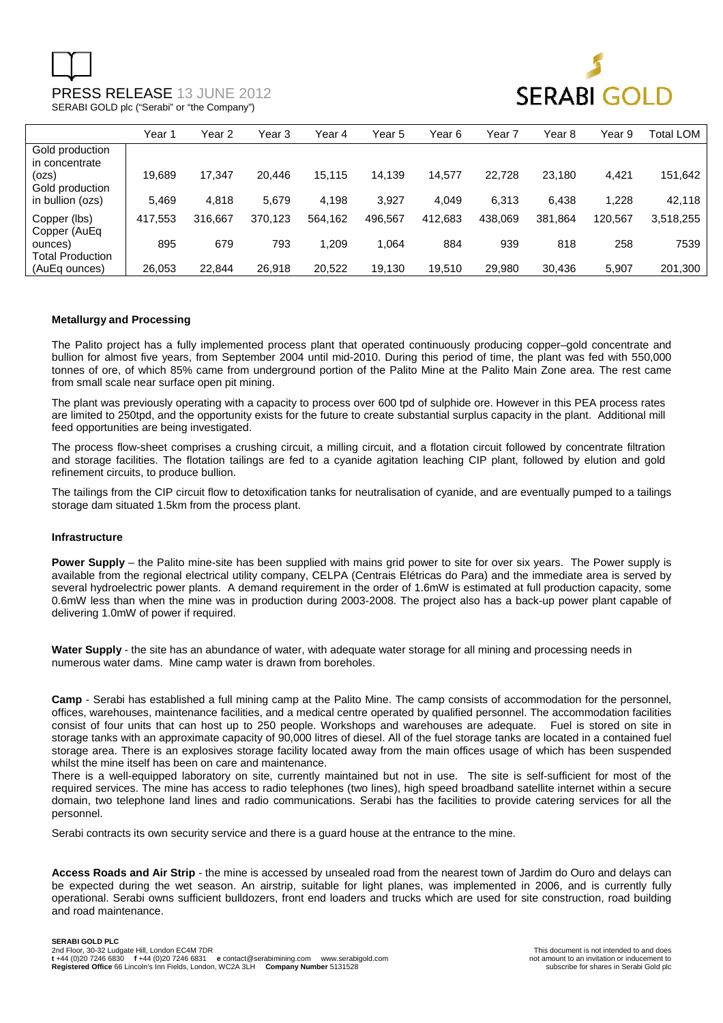

|                                    | Year 1  | Year 2  | Year 3  | Year 4  | Year 5  | Year 6  | Year 7  | Year 8  | Year 9  | Total LOM |
|------------------------------------|---------|---------|---------|---------|---------|---------|---------|---------|---------|-----------|
| Gold production<br>in concentrate  |         |         |         |         |         |         |         |         |         |           |
| (ozs)<br>Gold production           | 19,689  | 17.347  | 20.446  | 15,115  | 14.139  | 14,577  | 22.728  | 23.180  | 4,421   | 151,642   |
| in bullion (ozs)                   | 5.469   | 4,818   | 5.679   | 4,198   | 3,927   | 4.049   | 6,313   | 6,438   | 1,228   | 42,118    |
| Copper (lbs)<br>Copper (AuEq       | 417,553 | 316.667 | 370.123 | 564,162 | 496,567 | 412,683 | 438.069 | 381,864 | 120.567 | 3,518,255 |
| ounces)<br><b>Total Production</b> | 895     | 679     | 793     | 1,209   | 1.064   | 884     | 939     | 818     | 258     | 7539      |
| (AuEq ounces)                      | 26.053  | 22.844  | 26,918  | 20,522  | 19.130  | 19.510  | 29.980  | 30.436  | 5.907   | 201,300   |

#### **Metallurgy and Processing**

The Palito project has a fully implemented process plant that operated continuously producing copper–gold concentrate and bullion for almost five years, from September 2004 until mid-2010. During this period of time, the plant was fed with 550,000 tonnes of ore, of which 85% came from underground portion of the Palito Mine at the Palito Main Zone area. The rest came from small scale near surface open pit mining.

The plant was previously operating with a capacity to process over 600 tpd of sulphide ore. However in this PEA process rates are limited to 250tpd, and the opportunity exists for the future to create substantial surplus capacity in the plant. Additional mill feed opportunities are being investigated.

The process flow-sheet comprises a crushing circuit, a milling circuit, and a flotation circuit followed by concentrate filtration and storage facilities. The flotation tailings are fed to a cyanide agitation leaching CIP plant, followed by elution and gold refinement circuits, to produce bullion.

The tailings from the CIP circuit flow to detoxification tanks for neutralisation of cyanide, and are eventually pumped to a tailings storage dam situated 1.5km from the process plant.

#### **Infrastructure**

**Power Supply** – the Palito mine-site has been supplied with mains grid power to site for over six years. The Power supply is available from the regional electrical utility company, CELPA (Centrais Elétricas do Para) and the immediate area is served by several hydroelectric power plants. A demand requirement in the order of 1.6mW is estimated at full production capacity, some 0.6mW less than when the mine was in production during 2003-2008. The project also has a back-up power plant capable of delivering 1.0mW of power if required.

**Water Supply** - the site has an abundance of water, with adequate water storage for all mining and processing needs in numerous water dams. Mine camp water is drawn from boreholes.

**Camp** - Serabi has established a full mining camp at the Palito Mine. The camp consists of accommodation for the personnel, offices, warehouses, maintenance facilities, and a medical centre operated by qualified personnel. The accommodation facilities consist of four units that can host up to 250 people. Workshops and warehouses are adequate. Fuel is stored on site in storage tanks with an approximate capacity of 90,000 litres of diesel. All of the fuel storage tanks are located in a contained fuel storage area. There is an explosives storage facility located away from the main offices usage of which has been suspended whilst the mine itself has been on care and maintenance.

There is a well-equipped laboratory on site, currently maintained but not in use. The site is self-sufficient for most of the required services. The mine has access to radio telephones (two lines), high speed broadband satellite internet within a secure domain, two telephone land lines and radio communications. Serabi has the facilities to provide catering services for all the personnel.

Serabi contracts its own security service and there is a guard house at the entrance to the mine.

**Access Roads and Air Strip** - the mine is accessed by unsealed road from the nearest town of Jardim do Ouro and delays can be expected during the wet season. An airstrip, suitable for light planes, was implemented in 2006, and is currently fully operational. Serabi owns sufficient bulldozers, front end loaders and trucks which are used for site construction, road building and road maintenance.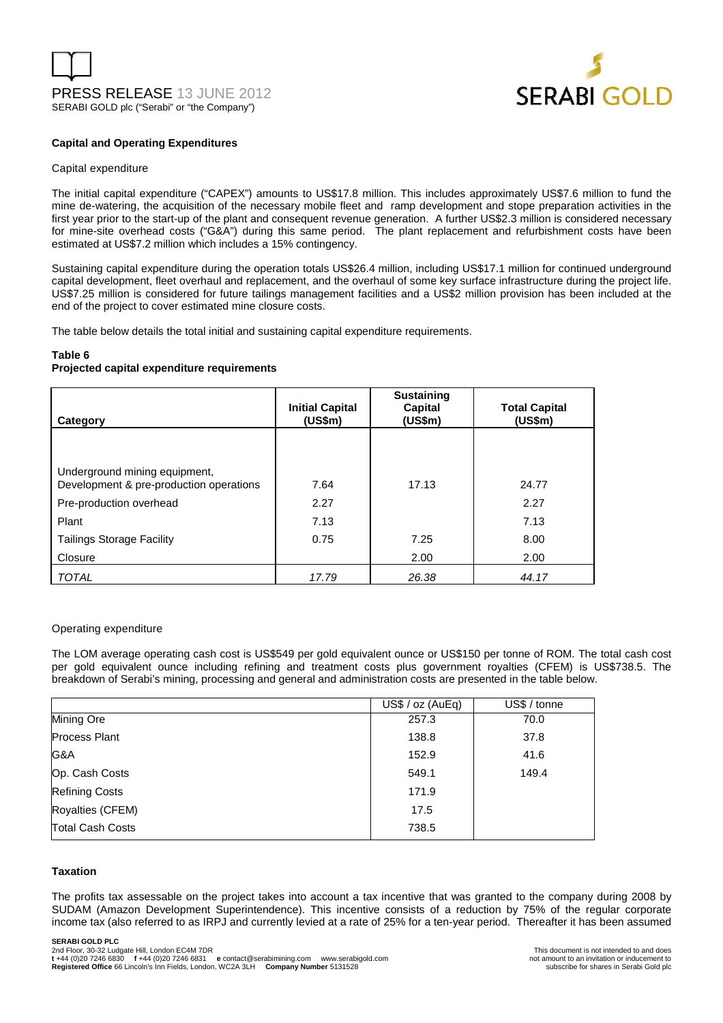



#### **Capital and Operating Expenditures**

#### Capital expenditure

The initial capital expenditure ("CAPEX") amounts to US\$17.8 million. This includes approximately US\$7.6 million to fund the mine de-watering, the acquisition of the necessary mobile fleet and ramp development and stope preparation activities in the first year prior to the start-up of the plant and consequent revenue generation. A further US\$2.3 million is considered necessary for mine-site overhead costs ("G&A") during this same period. The plant replacement and refurbishment costs have been estimated at US\$7.2 million which includes a 15% contingency.

Sustaining capital expenditure during the operation totals US\$26.4 million, including US\$17.1 million for continued underground capital development, fleet overhaul and replacement, and the overhaul of some key surface infrastructure during the project life. US\$7.25 million is considered for future tailings management facilities and a US\$2 million provision has been included at the end of the project to cover estimated mine closure costs.

The table below details the total initial and sustaining capital expenditure requirements.

#### **Table 6**

#### **Projected capital expenditure requirements**

| Category                                                                 | <b>Initial Capital</b><br>(US\$m) | <b>Sustaining</b><br>Capital<br>(US\$m) | <b>Total Capital</b><br>(US\$m) |
|--------------------------------------------------------------------------|-----------------------------------|-----------------------------------------|---------------------------------|
|                                                                          |                                   |                                         |                                 |
| Underground mining equipment,<br>Development & pre-production operations | 7.64                              | 17.13                                   | 24.77                           |
| Pre-production overhead                                                  | 2.27                              |                                         | 2.27                            |
| Plant                                                                    | 7.13                              |                                         | 7.13                            |
| <b>Tailings Storage Facility</b>                                         | 0.75                              | 7.25                                    | 8.00                            |
| Closure                                                                  |                                   | 2.00                                    | 2.00                            |
| <b>TOTAL</b>                                                             | 17.79                             | 26.38                                   | 44.17                           |

#### Operating expenditure

The LOM average operating cash cost is US\$549 per gold equivalent ounce or US\$150 per tonne of ROM. The total cash cost per gold equivalent ounce including refining and treatment costs plus government royalties (CFEM) is US\$738.5. The breakdown of Serabi's mining, processing and general and administration costs are presented in the table below.

|                         | US\$ / oz (AuEq) | US\$ / tonne |
|-------------------------|------------------|--------------|
| Mining Ore              | 257.3            | 70.0         |
| <b>Process Plant</b>    | 138.8            | 37.8         |
| G&A                     | 152.9            | 41.6         |
| Op. Cash Costs          | 549.1            | 149.4        |
| <b>Refining Costs</b>   | 171.9            |              |
| Royalties (CFEM)        | 17.5             |              |
| <b>Total Cash Costs</b> | 738.5            |              |

#### **Taxation**

The profits tax assessable on the project takes into account a tax incentive that was granted to the company during 2008 by SUDAM (Amazon Development Superintendence). This incentive consists of a reduction by 75% of the regular corporate income tax (also referred to as IRPJ and currently levied at a rate of 25% for a ten-year period. Thereafter it has been assumed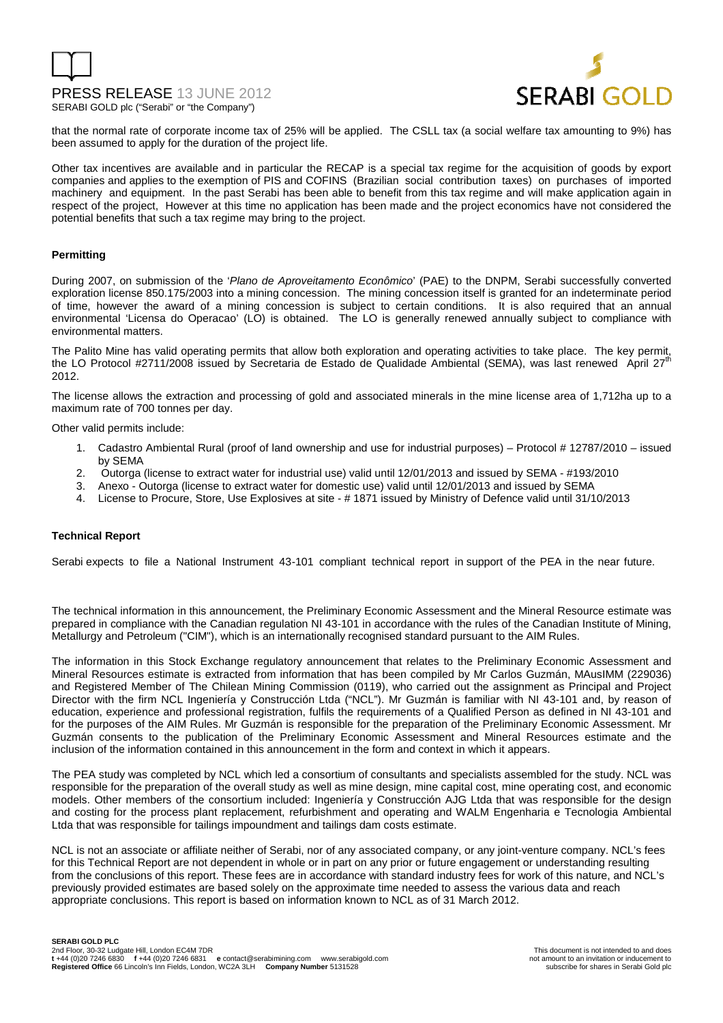



that the normal rate of corporate income tax of 25% will be applied. The CSLL tax (a social welfare tax amounting to 9%) has been assumed to apply for the duration of the project life.

Other tax incentives are available and in particular the RECAP is a special tax regime for the acquisition of goods by export companies and applies to the exemption of PIS and COFINS (Brazilian social contribution taxes) on purchases of imported machinery and equipment. In the past Serabi has been able to benefit from this tax regime and will make application again in respect of the project, However at this time no application has been made and the project economics have not considered the potential benefits that such a tax regime may bring to the project.

#### **Permitting**

During 2007, on submission of the 'Plano de Aproveitamento Econômico' (PAE) to the DNPM, Serabi successfully converted exploration license 850.175/2003 into a mining concession. The mining concession itself is granted for an indeterminate period of time, however the award of a mining concession is subject to certain conditions. It is also required that an annual environmental 'Licensa do Operacao' (LO) is obtained. The LO is generally renewed annually subject to compliance with environmental matters.

The Palito Mine has valid operating permits that allow both exploration and operating activities to take place. The key permit, the LO Protocol #2711/2008 issued by Secretaria de Estado de Qualidade Ambiental (SEMA), was last renewed April 27<sup>th</sup> 2012.

The license allows the extraction and processing of gold and associated minerals in the mine license area of 1,712ha up to a maximum rate of 700 tonnes per day.

Other valid permits include:

- 1. Cadastro Ambiental Rural (proof of land ownership and use for industrial purposes) Protocol # 12787/2010 issued by SEMA
- 2. Outorga (license to extract water for industrial use) valid until 12/01/2013 and issued by SEMA #193/2010
- 3. Anexo Outorga (license to extract water for domestic use) valid until 12/01/2013 and issued by SEMA
- 4. License to Procure, Store, Use Explosives at site # 1871 issued by Ministry of Defence valid until 31/10/2013

#### **Technical Report**

Serabi expects to file a National Instrument 43-101 compliant technical report in support of the PEA in the near future.

The technical information in this announcement, the Preliminary Economic Assessment and the Mineral Resource estimate was prepared in compliance with the Canadian regulation NI 43-101 in accordance with the rules of the Canadian Institute of Mining, Metallurgy and Petroleum ("CIM"), which is an internationally recognised standard pursuant to the AIM Rules.

The information in this Stock Exchange regulatory announcement that relates to the Preliminary Economic Assessment and Mineral Resources estimate is extracted from information that has been compiled by Mr Carlos Guzmán, MAusIMM (229036) and Registered Member of The Chilean Mining Commission (0119), who carried out the assignment as Principal and Project Director with the firm NCL Ingeniería y Construcción Ltda ("NCL"). Mr Guzmán is familiar with NI 43-101 and, by reason of education, experience and professional registration, fulfils the requirements of a Qualified Person as defined in NI 43-101 and for the purposes of the AIM Rules. Mr Guzmán is responsible for the preparation of the Preliminary Economic Assessment. Mr Guzmán consents to the publication of the Preliminary Economic Assessment and Mineral Resources estimate and the inclusion of the information contained in this announcement in the form and context in which it appears.

The PEA study was completed by NCL which led a consortium of consultants and specialists assembled for the study. NCL was responsible for the preparation of the overall study as well as mine design, mine capital cost, mine operating cost, and economic models. Other members of the consortium included: Ingeniería y Construcción AJG Ltda that was responsible for the design and costing for the process plant replacement, refurbishment and operating and WALM Engenharia e Tecnologia Ambiental Ltda that was responsible for tailings impoundment and tailings dam costs estimate.

NCL is not an associate or affiliate neither of Serabi, nor of any associated company, or any joint-venture company. NCL's fees for this Technical Report are not dependent in whole or in part on any prior or future engagement or understanding resulting from the conclusions of this report. These fees are in accordance with standard industry fees for work of this nature, and NCL's previously provided estimates are based solely on the approximate time needed to assess the various data and reach appropriate conclusions. This report is based on information known to NCL as of 31 March 2012.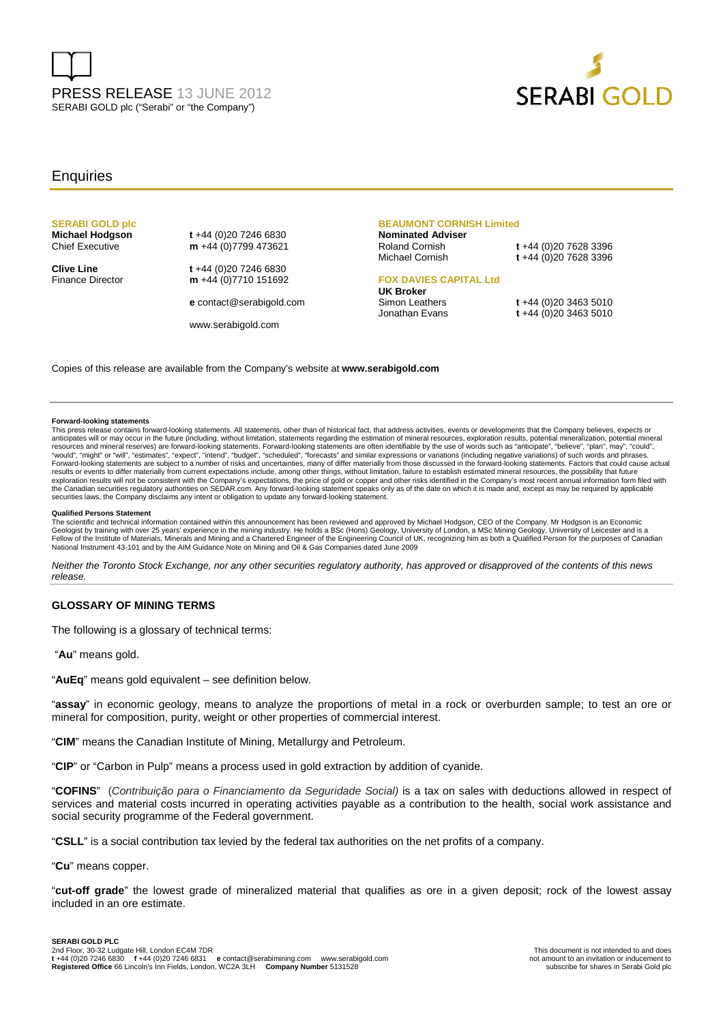



#### **Enquiries**

### **SERABI GOLD plc**

**Michael Hodgson** t +44 (0)20 7246 6830<br>Chief Executive **m** +44 (0)7799 473621 m +44 (0)7799 473621

**Clive Line t** +44 (0)20 7246 6830 Finance Director **m** +44 (0)7710 151692

**e** contact@serabigold.com

www.serabigold.com

### **BEAUMONT CORNISH Limited Nominated Adviser**

Roland Cornish **t** +44 (0)20 7628 3396 Michael Cornish **t** +44 (0)20 7628 3396

#### **FOX DAVIES CAPITAL Ltd UK Broker**

Simon Leathers **t** +44 (0)20 3463 5010<br>Jonathan Evans **t** +44 (0)20 3463 5010

Jonathan Evans **t** +44 (0)20 3463 5010

Copies of this release are available from the Company's website at **www.serabigold.com** 

#### **Forward-looking statements**

This press release contains forward-looking statements. All statements, other than of historical fact, that address activities, events or developments that the Company believes, expects or anticipates will or may occur in the future (including, without limitation, statements regarding the estimation of mineral resources, exploration results, potential mineralization, potential mineral mineral resources and m results or events to differ materially from current expectations include, among other things, without limitation, failure to establish estimated mineral resources, the possibility that future<br>exploration results will not b securities laws, the Company disclaims any intent or obligation to update any forward-looking statement.

#### **Qualified Persons Statement**

The scientific and technical information contained within this announcement has been reviewed and approved by Michael Hodgson, CEO of the Company. Mr Hodgson is an Economic Geologist by training with over 25 years' experience in the mining industry. He holds a BSc (Hons) Geology, University of London, a MSc Mining Geology, University of Leicester and is a<br>Fellow of the Institute of Materials, National Instrument 43-101 and by the AIM Guidance Note on Mining and Oil & Gas Companies dated June 2009

Neither the Toronto Stock Exchange, nor any other securities regulatory authority, has approved or disapproved of the contents of this news release.

#### **GLOSSARY OF MINING TERMS**

The following is a glossary of technical terms:

"**Au**" means gold.

"**AuEq**" means gold equivalent – see definition below.

"**assay**" in economic geology, means to analyze the proportions of metal in a rock or overburden sample; to test an ore or mineral for composition, purity, weight or other properties of commercial interest.

"**CIM**" means the Canadian Institute of Mining, Metallurgy and Petroleum.

"**CIP**" or "Carbon in Pulp" means a process used in gold extraction by addition of cyanide.

"**COFINS**" (Contribuição para o Financiamento da Seguridade Social) is a tax on sales with deductions allowed in respect of services and material costs incurred in operating activities payable as a contribution to the health, social work assistance and social security programme of the Federal government.

"**CSLL**" is a social contribution tax levied by the federal tax authorities on the net profits of a company.

"**Cu**" means copper.

"**cut-off grade**" the lowest grade of mineralized material that qualifies as ore in a given deposit; rock of the lowest assay included in an ore estimate.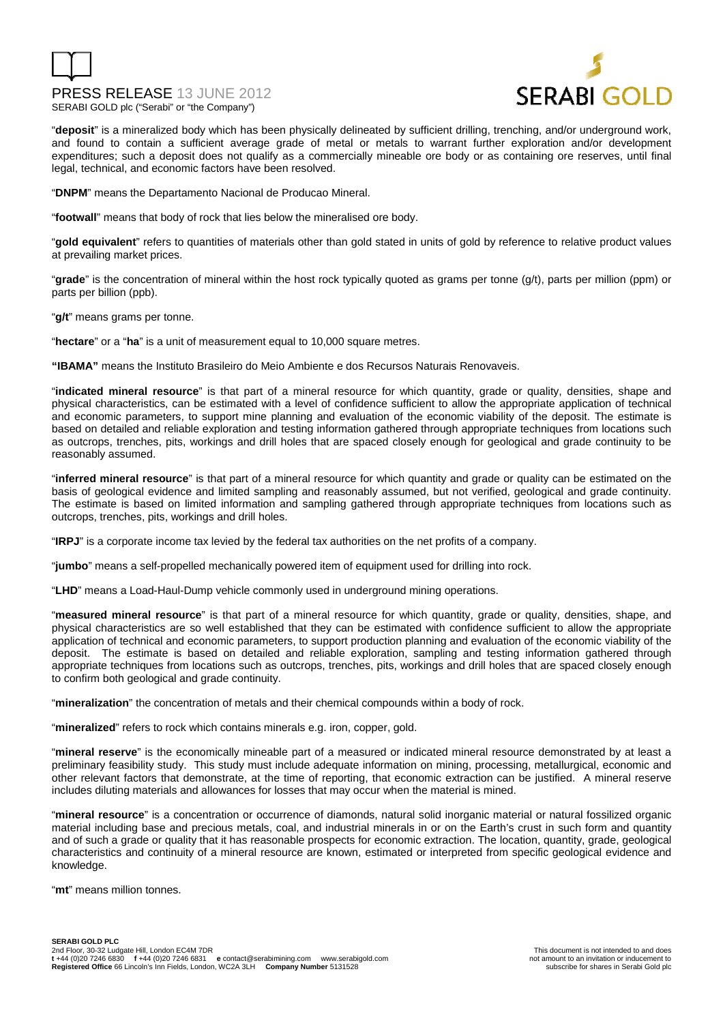

"**deposit**" is a mineralized body which has been physically delineated by sufficient drilling, trenching, and/or underground work, and found to contain a sufficient average grade of metal or metals to warrant further exploration and/or development expenditures; such a deposit does not qualify as a commercially mineable ore body or as containing ore reserves, until final legal, technical, and economic factors have been resolved.

"**DNPM**" means the Departamento Nacional de Producao Mineral.

"**footwall**" means that body of rock that lies below the mineralised ore body.

"**gold equivalent**" refers to quantities of materials other than gold stated in units of gold by reference to relative product values at prevailing market prices.

"**grade**" is the concentration of mineral within the host rock typically quoted as grams per tonne (g/t), parts per million (ppm) or parts per billion (ppb).

"**g/t**" means grams per tonne.

"**hectare**" or a "**ha**" is a unit of measurement equal to 10,000 square metres.

**"IBAMA"** means the Instituto Brasileiro do Meio Ambiente e dos Recursos Naturais Renovaveis.

"**indicated mineral resource**" is that part of a mineral resource for which quantity, grade or quality, densities, shape and physical characteristics, can be estimated with a level of confidence sufficient to allow the appropriate application of technical and economic parameters, to support mine planning and evaluation of the economic viability of the deposit. The estimate is based on detailed and reliable exploration and testing information gathered through appropriate techniques from locations such as outcrops, trenches, pits, workings and drill holes that are spaced closely enough for geological and grade continuity to be reasonably assumed.

"**inferred mineral resource**" is that part of a mineral resource for which quantity and grade or quality can be estimated on the basis of geological evidence and limited sampling and reasonably assumed, but not verified, geological and grade continuity. The estimate is based on limited information and sampling gathered through appropriate techniques from locations such as outcrops, trenches, pits, workings and drill holes.

"**IRPJ**" is a corporate income tax levied by the federal tax authorities on the net profits of a company.

"**jumbo**" means a self-propelled mechanically powered item of equipment used for drilling into rock.

"**LHD**" means a Load-Haul-Dump vehicle commonly used in underground mining operations.

"**measured mineral resource**" is that part of a mineral resource for which quantity, grade or quality, densities, shape, and physical characteristics are so well established that they can be estimated with confidence sufficient to allow the appropriate application of technical and economic parameters, to support production planning and evaluation of the economic viability of the deposit. The estimate is based on detailed and reliable exploration, sampling and testing information gathered through appropriate techniques from locations such as outcrops, trenches, pits, workings and drill holes that are spaced closely enough to confirm both geological and grade continuity.

"**mineralization**" the concentration of metals and their chemical compounds within a body of rock.

"**mineralized**" refers to rock which contains minerals e.g. iron, copper, gold.

"**mineral reserve**" is the economically mineable part of a measured or indicated mineral resource demonstrated by at least a preliminary feasibility study. This study must include adequate information on mining, processing, metallurgical, economic and other relevant factors that demonstrate, at the time of reporting, that economic extraction can be justified. A mineral reserve includes diluting materials and allowances for losses that may occur when the material is mined.

"**mineral resource**" is a concentration or occurrence of diamonds, natural solid inorganic material or natural fossilized organic material including base and precious metals, coal, and industrial minerals in or on the Earth's crust in such form and quantity and of such a grade or quality that it has reasonable prospects for economic extraction. The location, quantity, grade, geological characteristics and continuity of a mineral resource are known, estimated or interpreted from specific geological evidence and knowledge.

"**mt**" means million tonnes.